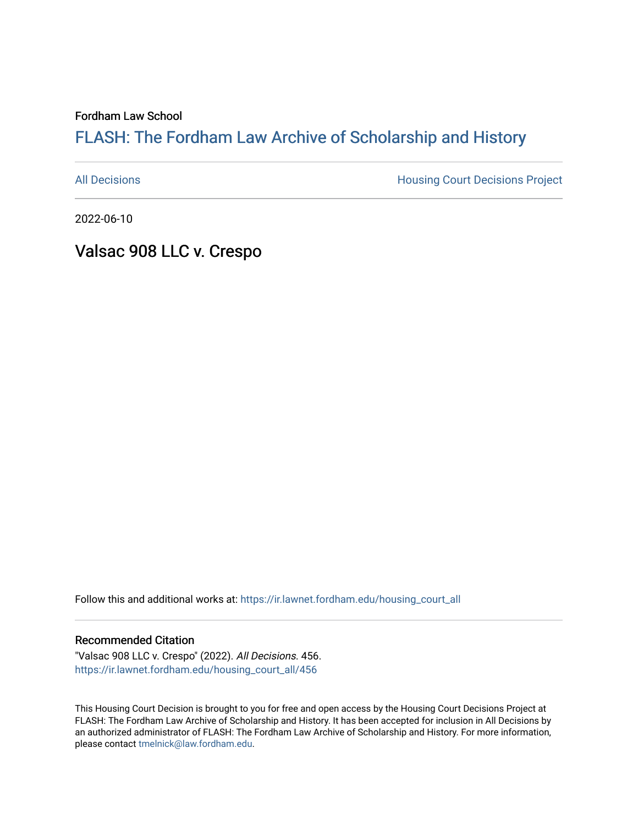Fordham Law School

# FLASH: The For[dham Law Archive of Scholarship and Hist](https://ir.lawnet.fordham.edu/)ory

[All Decisions](https://ir.lawnet.fordham.edu/housing_court_all) **All Decisions All Decisions** Project

2022-06-10

Valsac 908 LLC v. Crespo

Follow this and additional works at: [https://ir.lawnet.fordham.edu/housing\\_court\\_all](https://ir.lawnet.fordham.edu/housing_court_all?utm_source=ir.lawnet.fordham.edu%2Fhousing_court_all%2F456&utm_medium=PDF&utm_campaign=PDFCoverPages)

#### Recommended Citation

"Valsac 908 LLC v. Crespo" (2022). All Decisions. 456. [https://ir.lawnet.fordham.edu/housing\\_court\\_all/456](https://ir.lawnet.fordham.edu/housing_court_all/456?utm_source=ir.lawnet.fordham.edu%2Fhousing_court_all%2F456&utm_medium=PDF&utm_campaign=PDFCoverPages)

This Housing Court Decision is brought to you for free and open access by the Housing Court Decisions Project at FLASH: The Fordham Law Archive of Scholarship and History. It has been accepted for inclusion in All Decisions by an authorized administrator of FLASH: The Fordham Law Archive of Scholarship and History. For more information, please contact [tmelnick@law.fordham.edu](mailto:tmelnick@law.fordham.edu).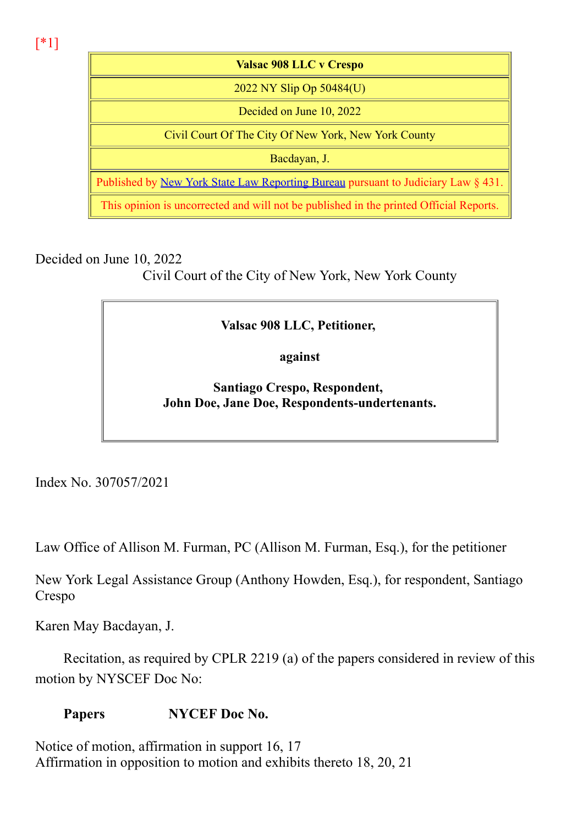[\*1]

Valsac 908 LLC v Crespo 2022 NY Slip Op 50484(U) Decided on June 10, 2022 Civil Court Of The City Of New York, New York County Bacdayan, J. Published by New York State Law Reporting Bureau pursuant to Judiciary Law § 431. This opinion is uncorrected and will not be published in the printed Official Reports.

Decided on June 10, 2022

Civil Court of the City of New York, New York County

## Valsac 908 LLC, Petitioner,

against

Santiago Crespo, Respondent, John Doe, Jane Doe, Respondents-undertenants.

Index No. 307057/2021

Law Office of Allison M. Furman, PC (Allison M. Furman, Esq.), for the petitioner

New York Legal Assistance Group (Anthony Howden, Esq.), for respondent, Santiago Crespo

Karen May Bacdayan, J.

Recitation, as required by CPLR 2219 (a) of the papers considered in review of this motion by NYSCEF Doc No:

## Papers **NYCEF** Doc No.

Notice of motion, affirmation in support 16, 17 Affirmation in opposition to motion and exhibits thereto 18, 20, 21  $\overline{11}$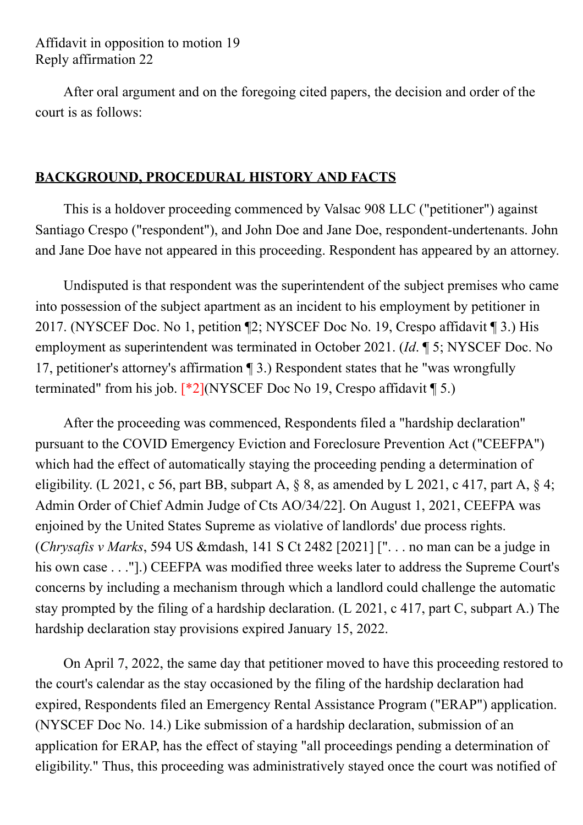After oral argument and on the foregoing cited papers, the decision and order of the court is as follows:

## BACKGROUND, PROCEDURAL HISTORY AND FACTS

This is a holdover proceeding commenced by Valsac 908 LLC ("petitioner") against Santiago Crespo ("respondent"), and John Doe and Jane Doe, respondent-undertenants. John and Jane Doe have not appeared in this proceeding. Respondent has appeared by an attorney.

Undisputed is that respondent was the superintendent of the subject premises who came into possession of the subject apartment as an incident to his employment by petitioner in 2017. (NYSCEF Doc. No 1, petition ¶2; NYSCEF Doc No. 19, Crespo affidavit ¶ 3.) His employment as superintendent was terminated in October 2021. (Id. ¶ 5; NYSCEF Doc. No 17, petitioner's attorney's affirmation ¶ 3.) Respondent states that he "was wrongfully terminated" from his job.  $\lceil *2 \rceil$ (NYSCEF Doc No 19, Crespo affidavit  $\P$  5.)

After the proceeding was commenced, Respondents filed a "hardship declaration" pursuant to the COVID Emergency Eviction and Foreclosure Prevention Act ("CEEFPA") which had the effect of automatically staying the proceeding pending a determination of eligibility. (L 2021, c 56, part BB, subpart A,  $\S$  8, as amended by L 2021, c 417, part A,  $\S$  4; Admin Order of Chief Admin Judge of Cts AO/34/22]. On August 1, 2021, CEEFPA was enjoined by the United States Supreme as violative of landlords' due process rights. (Chrysafis v Marks, 594 US &mdash, 141 S Ct 2482 [2021] [" $\ldots$  no man can be a judge in his own case . . ."].) CEEFPA was modified three weeks later to address the Supreme Court's concerns by including a mechanism through which a landlord could challenge the automatic stay prompted by the filing of a hardship declaration. (L 2021, c 417, part C, subpart A.) The hardship declaration stay provisions expired January 15, 2022.

On April 7, 2022, the same day that petitioner moved to have this proceeding restored to the court's calendar as the stay occasioned by the filing of the hardship declaration had expired, Respondents filed an Emergency Rental Assistance Program ("ERAP") application. (NYSCEF Doc No. 14.) Like submission of a hardship declaration, submission of an application for ERAP, has the effect of staying "all proceedings pending a determination of eligibility." Thus, this proceeding was administratively stayed once the court was notified of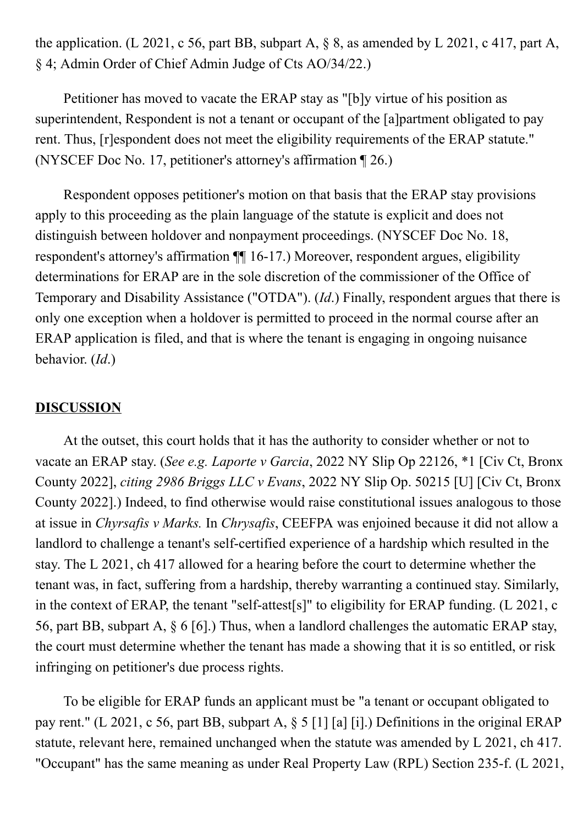the application. (L 2021, c 56, part BB, subpart A,  $\S$  8, as amended by L 2021, c 417, part A, § 4; Admin Order of Chief Admin Judge of Cts AO/34/22.)

Petitioner has moved to vacate the ERAP stay as "[b]y virtue of his position as superintendent, Respondent is not a tenant or occupant of the [a]partment obligated to pay rent. Thus, [r]espondent does not meet the eligibility requirements of the ERAP statute." (NYSCEF Doc No. 17, petitioner's attorney's affirmation ¶ 26.)

Respondent opposes petitioner's motion on that basis that the ERAP stay provisions apply to this proceeding as the plain language of the statute is explicit and does not distinguish between holdover and nonpayment proceedings. (NYSCEF Doc No. 18, respondent's attorney's affirmation  $\P\P$  16-17.) Moreover, respondent argues, eligibility determinations for ERAP are in the sole discretion of the commissioner of the Office of Temporary and Disability Assistance ("OTDA"). (Id.) Finally, respondent argues that there is only one exception when a holdover is permitted to proceed in the normal course after an ERAP application is filed, and that is where the tenant is engaging in ongoing nuisance behavior. (Id.)

### **DISCUSSION**

At the outset, this court holds that it has the authority to consider whether or not to vacate an ERAP stay. (See e.g. Laporte v Garcia, 2022 NY Slip Op 22126, \*1 [Civ Ct, Bronx County 2022], citing 2986 Briggs LLC v Evans, 2022 NY Slip Op. 50215 [U] [Civ Ct, Bronx County 2022].) Indeed, to find otherwise would raise constitutional issues analogous to those at issue in Chyrsafis v Marks. In Chrysafis, CEEFPA was enjoined because it did not allow a landlord to challenge a tenant's self-certified experience of a hardship which resulted in the stay. The L 2021, ch 417 allowed for a hearing before the court to determine whether the tenant was, in fact, suffering from a hardship, thereby warranting a continued stay. Similarly, in the context of ERAP, the tenant "self-attest[s]" to eligibility for ERAP funding. (L 2021, c 56, part BB, subpart A, § 6 [6].) Thus, when a landlord challenges the automatic ERAP stay, the court must determine whether the tenant has made a showing that it is so entitled, or risk infringing on petitioner's due process rights.

To be eligible for ERAP funds an applicant must be "a tenant or occupant obligated to pay rent." (L 2021, c 56, part BB, subpart A, § 5 [1] [a] [i].) Definitions in the original ERAP statute, relevant here, remained unchanged when the statute was amended by L 2021, ch 417. "Occupant" has the same meaning as under Real Property Law (RPL) Section 235-f. (L 2021,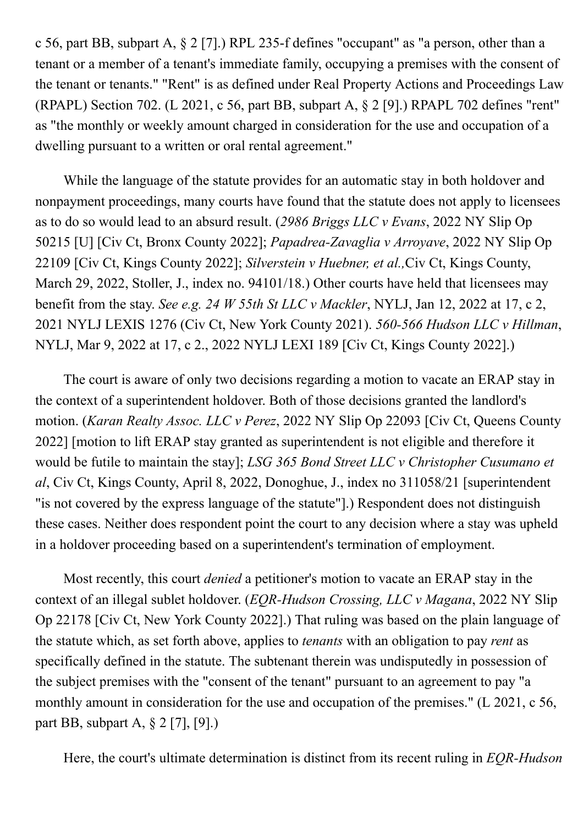c 56, part BB, subpart A,  $\S 2$  [7].) RPL 235-f defines "occupant" as "a person, other than a tenant or a member of a tenant's immediate family, occupying a premises with the consent of the tenant or tenants." "Rent" is as defined under Real Property Actions and Proceedings Law (RPAPL) Section 702. (L 2021, c 56, part BB, subpart A, § 2 [9].) RPAPL 702 defines "rent" as "the monthly or weekly amount charged in consideration for the use and occupation of a dwelling pursuant to a written or oral rental agreement."

While the language of the statute provides for an automatic stay in both holdover and nonpayment proceedings, many courts have found that the statute does not apply to licensees as to do so would lead to an absurd result. (2986 Briggs LLC v Evans, 2022 NY Slip Op 50215 [U] [Civ Ct, Bronx County 2022]; Papadrea-Zavaglia v Arroyave, 2022 NY Slip Op 22109 [Civ Ct, Kings County 2022]; Silverstein v Huebner, et al.,Civ Ct, Kings County, March 29, 2022, Stoller, J., index no. 94101/18.) Other courts have held that licensees may benefit from the stay. See e.g. 24 W 55th St LLC v Mackler, NYLJ, Jan 12, 2022 at 17, c 2, 2021 NYLJ LEXIS 1276 (Civ Ct, New York County 2021). 560-566 Hudson LLC v Hillman, NYLJ, Mar 9, 2022 at 17, c 2., 2022 NYLJ LEXI 189 [Civ Ct, Kings County 2022].)

The court is aware of only two decisions regarding a motion to vacate an ERAP stay in the context of a superintendent holdover. Both of those decisions granted the landlord's motion. (Karan Realty Assoc. LLC v Perez, 2022 NY Slip Op 22093 [Civ Ct, Queens County 2022] [motion to lift ERAP stay granted as superintendent is not eligible and therefore it would be futile to maintain the stay]; LSG 365 Bond Street LLC v Christopher Cusumano et al, Civ Ct, Kings County, April 8, 2022, Donoghue, J., index no 311058/21 [superintendent "is not covered by the express language of the statute"].) Respondent does not distinguish these cases. Neither does respondent point the court to any decision where a stay was upheld in a holdover proceeding based on a superintendent's termination of employment.

Most recently, this court denied a petitioner's motion to vacate an ERAP stay in the context of an illegal sublet holdover. (*EQR-Hudson Crossing, LLC v Magana*, 2022 NY Slip Op 22178 [Civ Ct, New York County 2022].) That ruling was based on the plain language of the statute which, as set forth above, applies to *tenants* with an obligation to pay *rent* as specifically defined in the statute. The subtenant therein was undisputedly in possession of the subject premises with the "consent of the tenant" pursuant to an agreement to pay "a monthly amount in consideration for the use and occupation of the premises." (L 2021, c 56, part BB, subpart A, § 2 [7], [9].)

Here, the court's ultimate determination is distinct from its recent ruling in EQR-Hudson